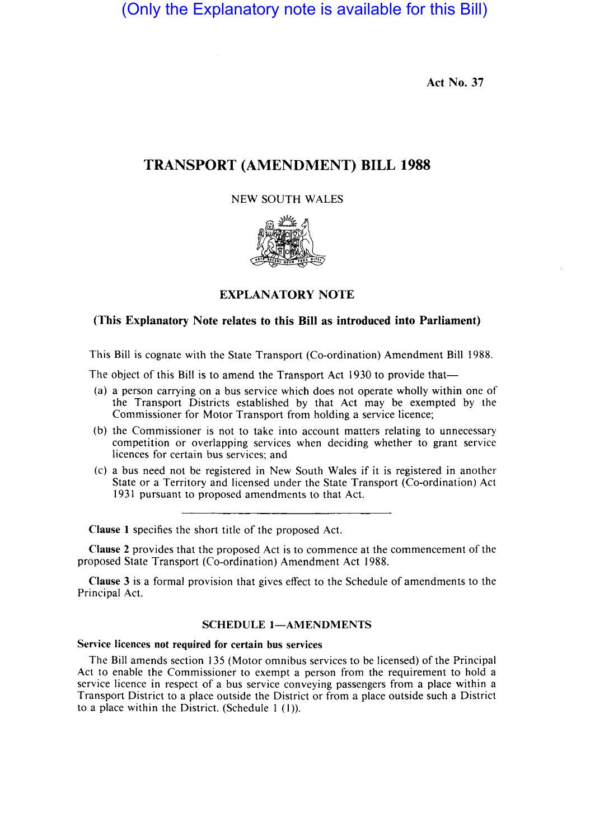(Only the Explanatory note is available for this Bill)

Act No. 37

# TRANSPORT (AMENDMENT) BILL 1988

## NEW SOUTH WALES



# EXPLANATORY NOTE

# (This Explanatory Note relates to this Bill as introduced into Parliament)

This Bill is cognate with the State Transport (Co-ordination) Amendment Bill 1988.

The object of this Bill is to amend the Transport Act 1930 to provide that—

- (a) a person carrying on a bus service which does not operate wholly within one of the Transport Districts established by that Act may be exempted by the Commissioner for Motor Transport from holding a service licence;
- (b) the Commissioner is not to take into account matters relating to unnecessary competition or overlapping services when deciding whether to grant service licences for certain bus services; and
- (c) a bus need not be registered in New South Wales if it is registered in another State or a Territory and licensed under the State Transport (Co-ordination) Act 1931 pursuant to proposed amendments to that Act.

Clause I specifies the short title of the proposed Act.

Clause 2 provides that the proposed Act is to commence at the commencement of the proposed State Transport (Co-ordination) Amendment Act 1988.

Clause 3 is a formal provision that gives effect to the Schedule of amendments to the Principal Act.

### SCHEDULE 1-AMENDMENTS

#### Service licences not required for certain bus services

The Bill amends section 135 (Motor omnibus services to be licensed) of the Principal Act to enable the Commissioner to exempt a person from the requirement to hold a service licence in respect of a bus service conveying passengers from a place within a Transport District to a place outside the District or from a place outside such a District to a place within the District. (Schedule  $1(1)$ ).